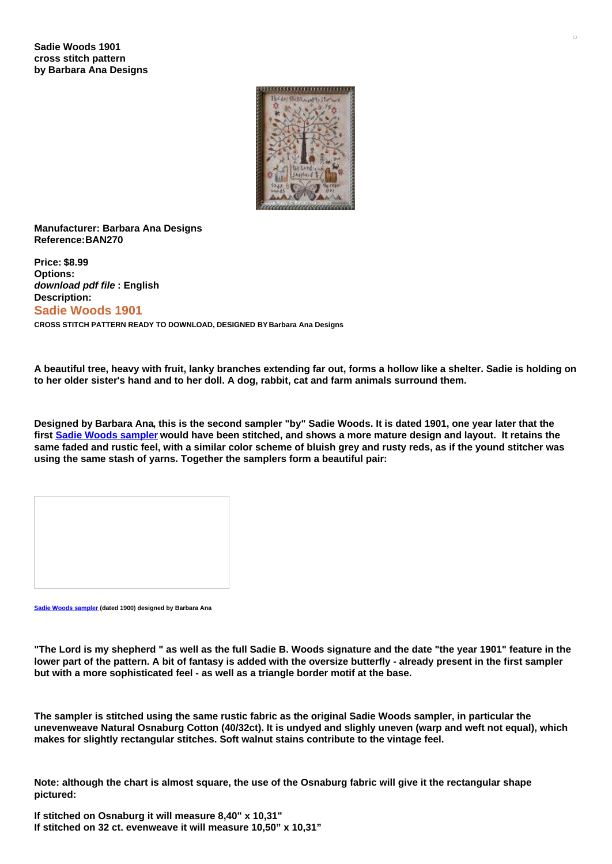

## **Manufacturer: Barbara Ana Designs Reference:BAN270**

**Price: \$8.99 Options:** *download pdf file* **: English Description: Sadie Woods 1901 CROSS STITCH PATTERN READY TO DOWNLOAD, DESIGNED BY Barbara Ana Designs**

A beautiful tree, heavy with fruit, lanky branches extending far out, forms a hollow like a shelter. Sadie is holding on **to her older sister's hand and to her doll. A dog, rabbit, cat and farm animals surround them.**

Designed by Barbara Ana, this is the second sampler "by" Sadie Woods. It is dated 1901, one year later that the first Sadie Woods [sampler](https://www.creativepoppypatterns.com/barbara-designs-sadie-woods-sampler-cross-stitch-xml-296_302-3189.html) would have been stitched, and shows a more mature design and layout. It retains the same faded and rustic feel, with a similar color scheme of bluish grey and rusty reds, as if the yound stitcher was **using the same stash of yarns. Together the samplers form a beautiful pair:**

**Sadie Woods [sampler](https://www.creativepoppypatterns.com/barbara-designs-sadie-woods-sampler-cross-stitch-xml-296_302-3189.html) (dated 1900) designed by Barbara Ana**

"The Lord is my shepherd " as well as the full Sadie B. Woods signature and the date "the year 1901" feature in the lower part of the pattern. A bit of fantasy is added with the oversize butterfly - already present in the first sampler **but with a more sophisticated feel - as well as a triangle border motif at the base.**

The sampler is stitched using the same rustic fabric as the original Sadie Woods sampler, in particular the unevenweave Natural Osnaburg Cotton (40/32ct). It is undyed and slighly uneven (warp and weft not equal), which **makes for slightly rectangular stitches. Soft walnut stains contribute to the vintage feel.**

Note: although the chart is almost square, the use of the Osnaburg fabric will give it the rectangular shape **pictured:**

**If stitched on Osnaburg it will measure 8,40" x 10,31" If stitched on 32 ct. evenweave it will measure 10,50" x 10,31"**